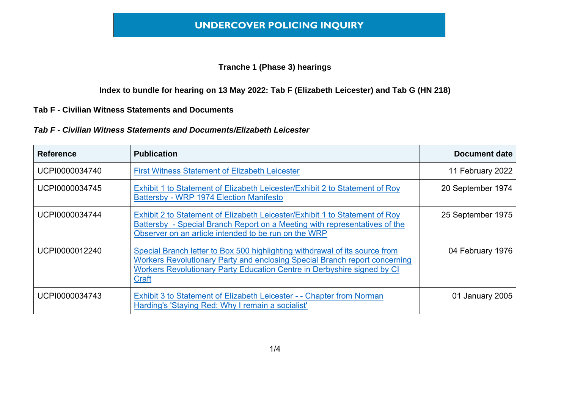# **UNDERCOVER POLICING INQUIRY**

### **Tranche 1 (Phase 3) hearings**

**Index to bundle for hearing on 13 May 2022: Tab F (Elizabeth Leicester) and Tab G (HN 218)**

### **Tab F - Civilian Witness Statements and Documents**

#### *Tab F - Civilian Witness Statements and Documents/Elizabeth Leicester*

| <b>Reference</b> | <b>Publication</b>                                                                                                                                                                                                                            | Document date     |
|------------------|-----------------------------------------------------------------------------------------------------------------------------------------------------------------------------------------------------------------------------------------------|-------------------|
| UCPI0000034740   | <b>First Witness Statement of Elizabeth Leicester</b>                                                                                                                                                                                         | 11 February 2022  |
| UCPI0000034745   | Exhibit 1 to Statement of Elizabeth Leicester/Exhibit 2 to Statement of Roy<br>Battersby - WRP 1974 Election Manifesto                                                                                                                        | 20 September 1974 |
| UCPI0000034744   | Exhibit 2 to Statement of Elizabeth Leicester/Exhibit 1 to Statement of Roy<br>Battersby - Special Branch Report on a Meeting with representatives of the<br>Observer on an article intended to be run on the WRP                             | 25 September 1975 |
| UCPI0000012240   | Special Branch letter to Box 500 highlighting withdrawal of its source from<br>Workers Revolutionary Party and enclosing Special Branch report concerning<br>Workers Revolutionary Party Education Centre in Derbyshire signed by CI<br>Craft | 04 February 1976  |
| UCPI0000034743   | Exhibit 3 to Statement of Elizabeth Leicester - - Chapter from Norman<br>Harding's 'Staying Red: Why I remain a socialist'                                                                                                                    | 01 January 2005   |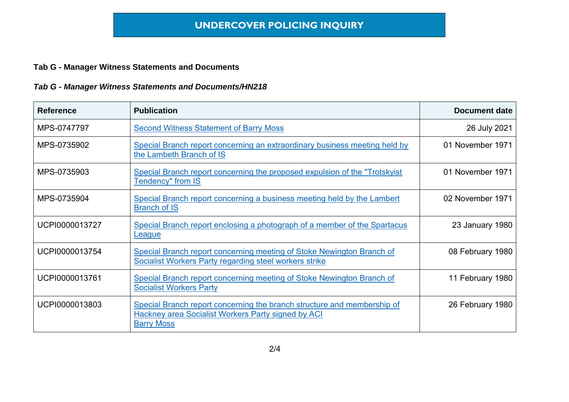## **Tab G - Manager Witness Statements and Documents**

## *Tab G - Manager Witness Statements and Documents/HN218*

| <b>Reference</b> | <b>Publication</b>                                                                                                                                 | <b>Document date</b> |
|------------------|----------------------------------------------------------------------------------------------------------------------------------------------------|----------------------|
| MPS-0747797      | <b>Second Witness Statement of Barry Moss</b>                                                                                                      | 26 July 2021         |
| MPS-0735902      | Special Branch report concerning an extraordinary business meeting held by<br>the Lambeth Branch of IS                                             | 01 November 1971     |
| MPS-0735903      | Special Branch report concerning the proposed expulsion of the "Trotskyist"<br><b>Tendency"</b> from IS                                            | 01 November 1971     |
| MPS-0735904      | Special Branch report concerning a business meeting held by the Lambert<br><b>Branch of IS</b>                                                     | 02 November 1971     |
| UCPI0000013727   | Special Branch report enclosing a photograph of a member of the Spartacus<br>League                                                                | 23 January 1980      |
| UCPI0000013754   | Special Branch report concerning meeting of Stoke Newington Branch of<br>Socialist Workers Party regarding steel workers strike                    | 08 February 1980     |
| UCPI0000013761   | Special Branch report concerning meeting of Stoke Newington Branch of<br><b>Socialist Workers Party</b>                                            | 11 February 1980     |
| UCPI0000013803   | Special Branch report concerning the branch structure and membership of<br>Hackney area Socialist Workers Party signed by ACI<br><b>Barry Moss</b> | 26 February 1980     |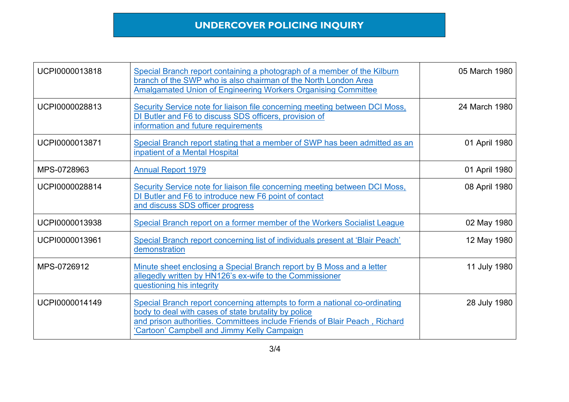# **UNDERCOVER POLICING INQUIRY**

| UCPI0000013818 | Special Branch report containing a photograph of a member of the Kilburn<br>branch of the SWP who is also chairman of the North London Area<br><b>Amalgamated Union of Engineering Workers Organising Committee</b>                                             | 05 March 1980 |
|----------------|-----------------------------------------------------------------------------------------------------------------------------------------------------------------------------------------------------------------------------------------------------------------|---------------|
| UCPI0000028813 | Security Service note for liaison file concerning meeting between DCI Moss,<br>DI Butler and F6 to discuss SDS officers, provision of<br>information and future requirements                                                                                    | 24 March 1980 |
| UCPI0000013871 | Special Branch report stating that a member of SWP has been admitted as an<br>inpatient of a Mental Hospital                                                                                                                                                    | 01 April 1980 |
| MPS-0728963    | <b>Annual Report 1979</b>                                                                                                                                                                                                                                       | 01 April 1980 |
| UCPI0000028814 | Security Service note for liaison file concerning meeting between DCI Moss,<br>DI Butler and F6 to introduce new F6 point of contact<br>and discuss SDS officer progress                                                                                        | 08 April 1980 |
| UCPI0000013938 | Special Branch report on a former member of the Workers Socialist League                                                                                                                                                                                        | 02 May 1980   |
| UCPI0000013961 | Special Branch report concerning list of individuals present at 'Blair Peach'<br>demonstration                                                                                                                                                                  | 12 May 1980   |
| MPS-0726912    | Minute sheet enclosing a Special Branch report by B Moss and a letter<br>allegedly written by HN126's ex-wife to the Commissioner<br>questioning his integrity                                                                                                  | 11 July 1980  |
| UCPI0000014149 | Special Branch report concerning attempts to form a national co-ordinating<br>body to deal with cases of state brutality by police<br>and prison authorities. Committees include Friends of Blair Peach, Richard<br>'Cartoon' Campbell and Jimmy Kelly Campaign | 28 July 1980  |